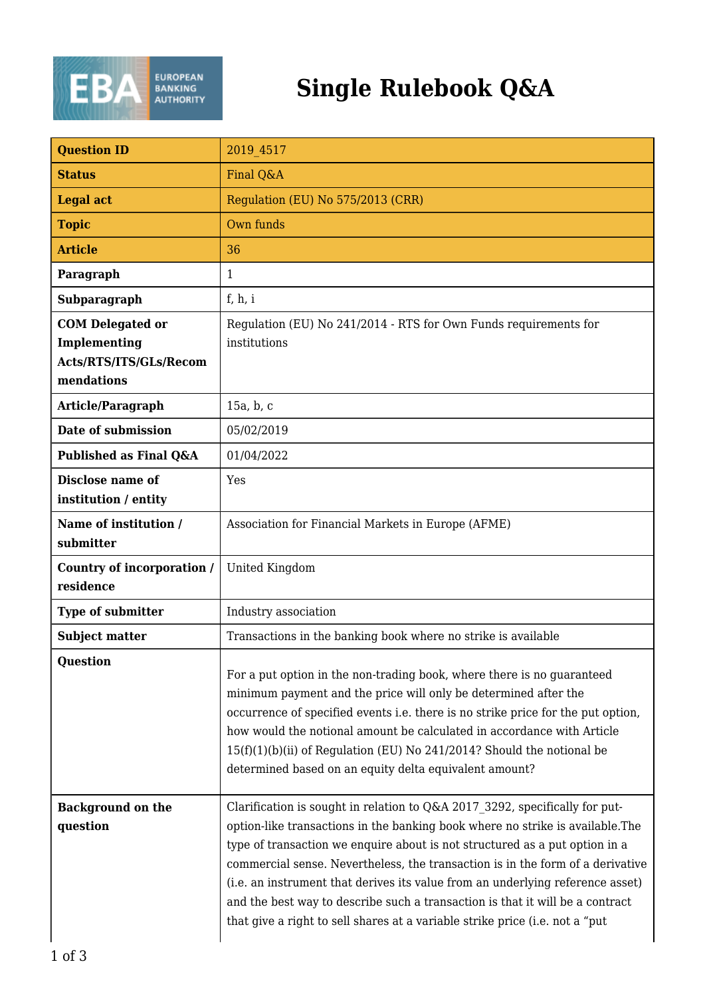

## **Single Rulebook Q&A**

| <b>Question ID</b>                                                              | 2019 4517                                                                                                                                                                                                                                                                                                                                                                                                                                                                                                                                                                         |
|---------------------------------------------------------------------------------|-----------------------------------------------------------------------------------------------------------------------------------------------------------------------------------------------------------------------------------------------------------------------------------------------------------------------------------------------------------------------------------------------------------------------------------------------------------------------------------------------------------------------------------------------------------------------------------|
| <b>Status</b>                                                                   | Final Q&A                                                                                                                                                                                                                                                                                                                                                                                                                                                                                                                                                                         |
| <b>Legal act</b>                                                                | Regulation (EU) No 575/2013 (CRR)                                                                                                                                                                                                                                                                                                                                                                                                                                                                                                                                                 |
| <b>Topic</b>                                                                    | Own funds                                                                                                                                                                                                                                                                                                                                                                                                                                                                                                                                                                         |
| <b>Article</b>                                                                  | 36                                                                                                                                                                                                                                                                                                                                                                                                                                                                                                                                                                                |
| Paragraph                                                                       | 1                                                                                                                                                                                                                                                                                                                                                                                                                                                                                                                                                                                 |
| Subparagraph                                                                    | f, h, i                                                                                                                                                                                                                                                                                                                                                                                                                                                                                                                                                                           |
| <b>COM Delegated or</b><br>Implementing<br>Acts/RTS/ITS/GLs/Recom<br>mendations | Regulation (EU) No 241/2014 - RTS for Own Funds requirements for<br>institutions                                                                                                                                                                                                                                                                                                                                                                                                                                                                                                  |
| Article/Paragraph                                                               | 15a, b, c                                                                                                                                                                                                                                                                                                                                                                                                                                                                                                                                                                         |
| Date of submission                                                              | 05/02/2019                                                                                                                                                                                                                                                                                                                                                                                                                                                                                                                                                                        |
| Published as Final Q&A                                                          | 01/04/2022                                                                                                                                                                                                                                                                                                                                                                                                                                                                                                                                                                        |
| Disclose name of<br>institution / entity                                        | Yes                                                                                                                                                                                                                                                                                                                                                                                                                                                                                                                                                                               |
| Name of institution /<br>submitter                                              | Association for Financial Markets in Europe (AFME)                                                                                                                                                                                                                                                                                                                                                                                                                                                                                                                                |
| Country of incorporation /<br>residence                                         | United Kingdom                                                                                                                                                                                                                                                                                                                                                                                                                                                                                                                                                                    |
| <b>Type of submitter</b>                                                        | Industry association                                                                                                                                                                                                                                                                                                                                                                                                                                                                                                                                                              |
| <b>Subject matter</b>                                                           | Transactions in the banking book where no strike is available                                                                                                                                                                                                                                                                                                                                                                                                                                                                                                                     |
| <b>Question</b>                                                                 | For a put option in the non-trading book, where there is no guaranteed<br>minimum payment and the price will only be determined after the<br>occurrence of specified events i.e. there is no strike price for the put option,<br>how would the notional amount be calculated in accordance with Article<br>$15(f)(1)(b)(ii)$ of Regulation (EU) No 241/2014? Should the notional be<br>determined based on an equity delta equivalent amount?                                                                                                                                     |
| <b>Background on the</b><br>question                                            | Clarification is sought in relation to Q&A 2017 3292, specifically for put-<br>option-like transactions in the banking book where no strike is available. The<br>type of transaction we enquire about is not structured as a put option in a<br>commercial sense. Nevertheless, the transaction is in the form of a derivative<br>(i.e. an instrument that derives its value from an underlying reference asset)<br>and the best way to describe such a transaction is that it will be a contract<br>that give a right to sell shares at a variable strike price (i.e. not a "put |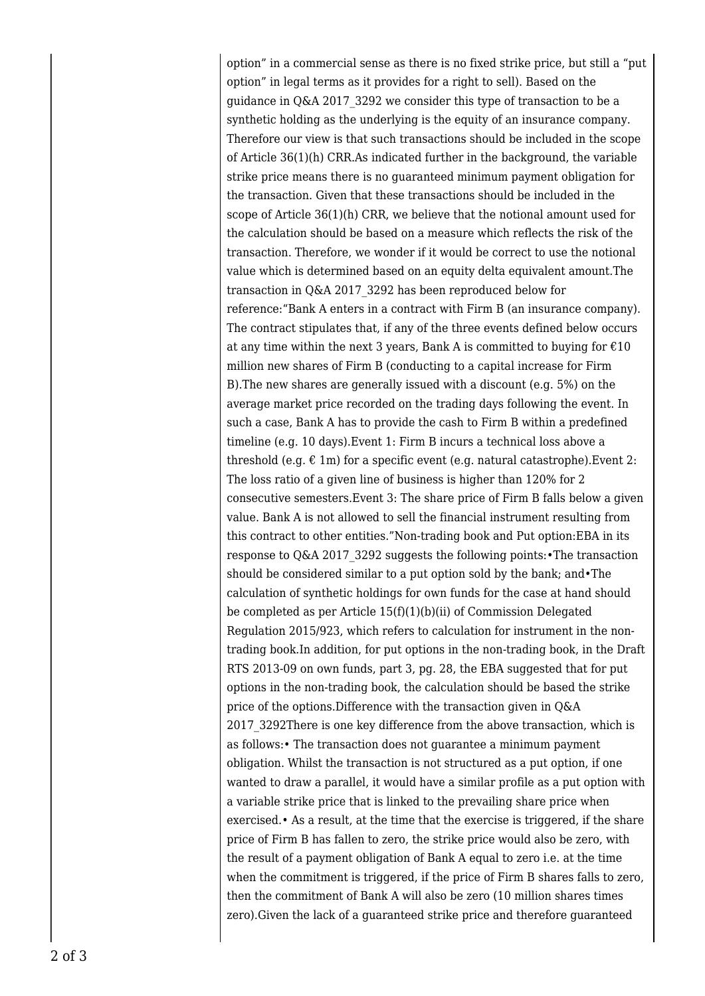option" in a commercial sense as there is no fixed strike price, but still a "put option" in legal terms as it provides for a right to sell). Based on the guidance in Q&A 2017\_3292 we consider this type of transaction to be a synthetic holding as the underlying is the equity of an insurance company. Therefore our view is that such transactions should be included in the scope of Article 36(1)(h) CRR.As indicated further in the background, the variable strike price means there is no guaranteed minimum payment obligation for the transaction. Given that these transactions should be included in the scope of Article 36(1)(h) CRR, we believe that the notional amount used for the calculation should be based on a measure which reflects the risk of the transaction. Therefore, we wonder if it would be correct to use the notional value which is determined based on an equity delta equivalent amount.The transaction in Q&A 2017\_3292 has been reproduced below for reference:"Bank A enters in a contract with Firm B (an insurance company). The contract stipulates that, if any of the three events defined below occurs at any time within the next 3 years, Bank A is committed to buying for  $\epsilon$ 10 million new shares of Firm B (conducting to a capital increase for Firm B).The new shares are generally issued with a discount (e.g. 5%) on the average market price recorded on the trading days following the event. In such a case, Bank A has to provide the cash to Firm B within a predefined timeline (e.g. 10 days).Event 1: Firm B incurs a technical loss above a threshold (e.g.  $\epsilon$  1m) for a specific event (e.g. natural catastrophe). Event 2: The loss ratio of a given line of business is higher than 120% for 2 consecutive semesters.Event 3: The share price of Firm B falls below a given value. Bank A is not allowed to sell the financial instrument resulting from this contract to other entities."Non-trading book and Put option:EBA in its response to Q&A 2017\_3292 suggests the following points:•The transaction should be considered similar to a put option sold by the bank; and•The calculation of synthetic holdings for own funds for the case at hand should be completed as per Article 15(f)(1)(b)(ii) of Commission Delegated Regulation 2015/923, which refers to calculation for instrument in the nontrading book.In addition, for put options in the non-trading book, in the Draft RTS 2013-09 on own funds, part 3, pg. 28, the EBA suggested that for put options in the non-trading book, the calculation should be based the strike price of the options.Difference with the transaction given in Q&A 2017\_3292There is one key difference from the above transaction, which is as follows:• The transaction does not guarantee a minimum payment obligation. Whilst the transaction is not structured as a put option, if one wanted to draw a parallel, it would have a similar profile as a put option with a variable strike price that is linked to the prevailing share price when exercised.• As a result, at the time that the exercise is triggered, if the share price of Firm B has fallen to zero, the strike price would also be zero, with the result of a payment obligation of Bank A equal to zero i.e. at the time when the commitment is triggered, if the price of Firm B shares falls to zero, then the commitment of Bank A will also be zero (10 million shares times zero).Given the lack of a guaranteed strike price and therefore guaranteed